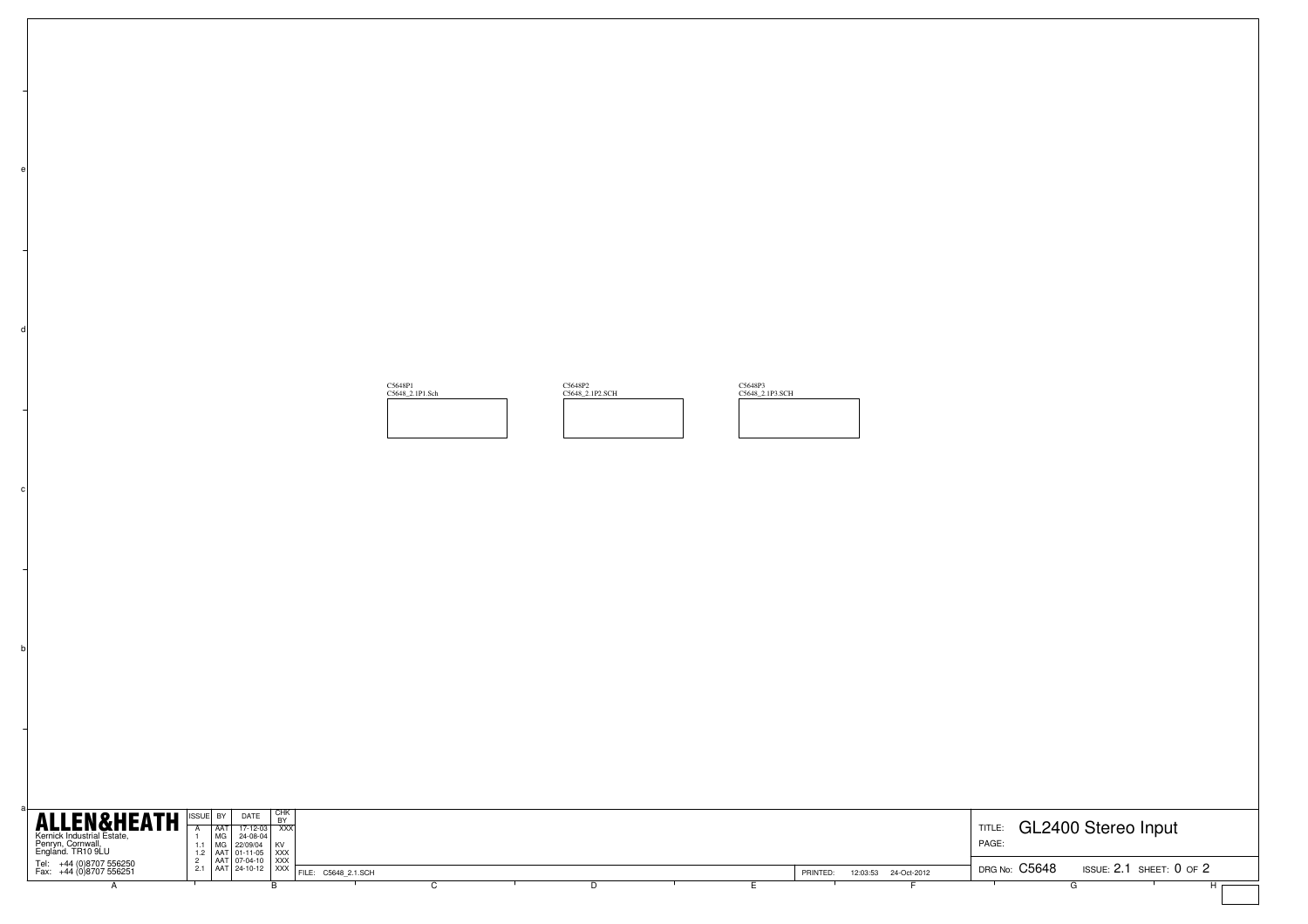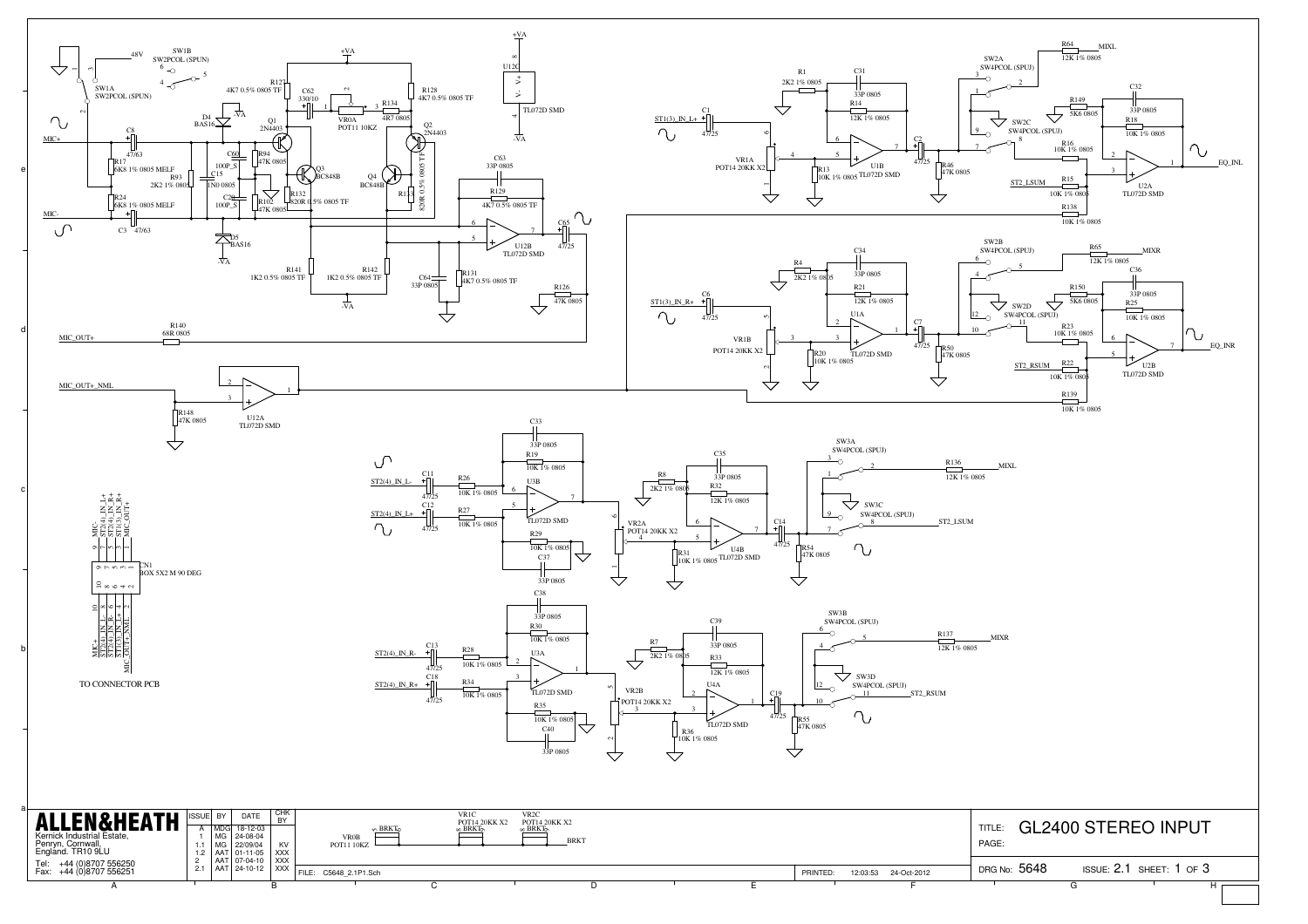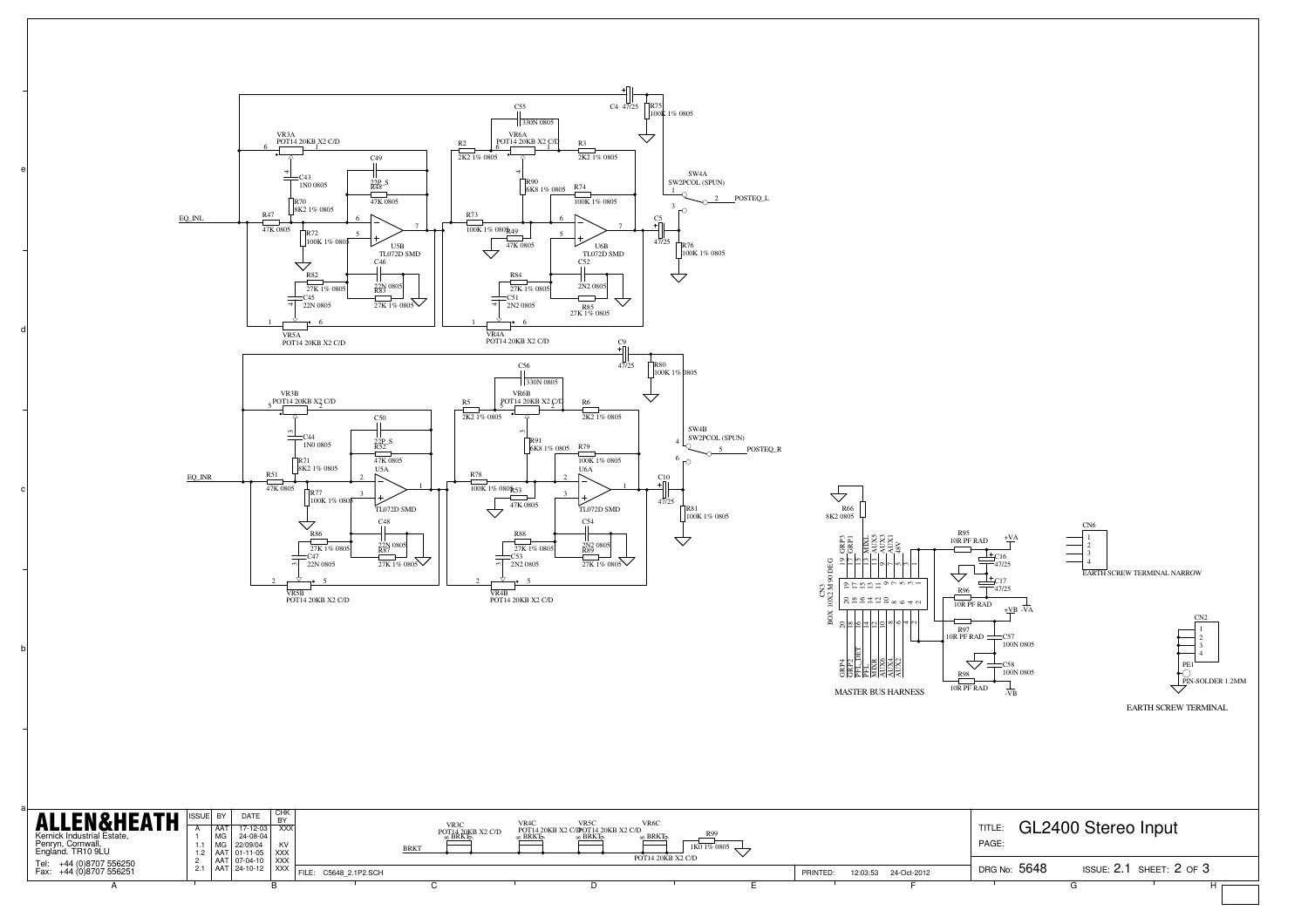